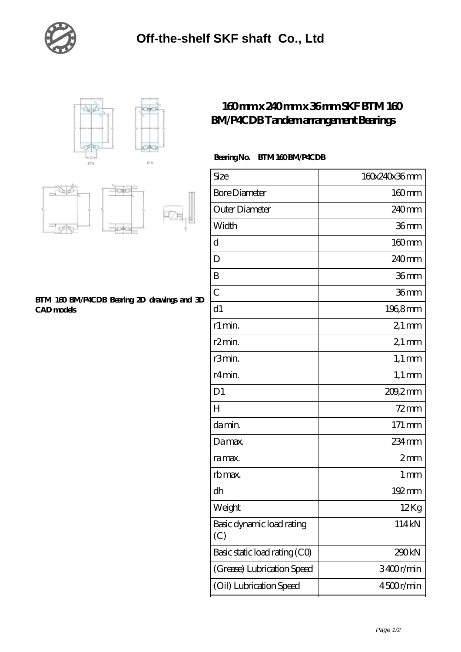





## **[BTM 160 BM/P4CDB Bearing 2D drawings and 3D](https://egkfv.com/pic-157106.html) [CAD models](https://egkfv.com/pic-157106.html)**

## **[160 mm x 240 mm x 36 mm SKF BTM 160](https://egkfv.com/bh-157106-skf-btm-160-bm-p4cdb-tandem-arrangement-bearings.html) [BM/P4CDB Tandem arrangement Bearings](https://egkfv.com/bh-157106-skf-btm-160-bm-p4cdb-tandem-arrangement-bearings.html)**

## Bearing No. BTM 160 BM/P4CDB

| Size                             | 160x240x36mm       |
|----------------------------------|--------------------|
| <b>Bore Diameter</b>             | 160mm              |
| Outer Diameter                   | 240 <sub>mm</sub>  |
| Width                            | 36mm               |
| d                                | $160$ mm           |
| D                                | 240 <sub>mm</sub>  |
| B                                | 36mm               |
| $\overline{C}$                   | 36 <sub>mm</sub>   |
| d1                               | 196,8mm            |
| r1 min.                          | $21 \,\mathrm{mm}$ |
| r <sub>2</sub> min.              | $21 \,\mathrm{mm}$ |
| r3min.                           | $1,1 \text{ mm}$   |
| r4 min.                          | $1,1 \text{ mm}$   |
| D <sub>1</sub>                   | $209.2$ mm         |
| $H_{\rm 2}$                      | $72$ mm            |
| da min.                          | 171 mm             |
| Damax.                           | 234 mm             |
| ra max.                          | 2mm                |
| rb max.                          | $1 \,\mathrm{mm}$  |
| dh                               | 192mm              |
| Weight                           | 12Kg               |
| Basic dynamic load rating<br>(C) | 114kN              |
| Basic static load rating (CO)    | 290kN              |
| (Grease) Lubrication Speed       | 3400r/min          |
| (Oil) Lubrication Speed          | 4500r/min          |